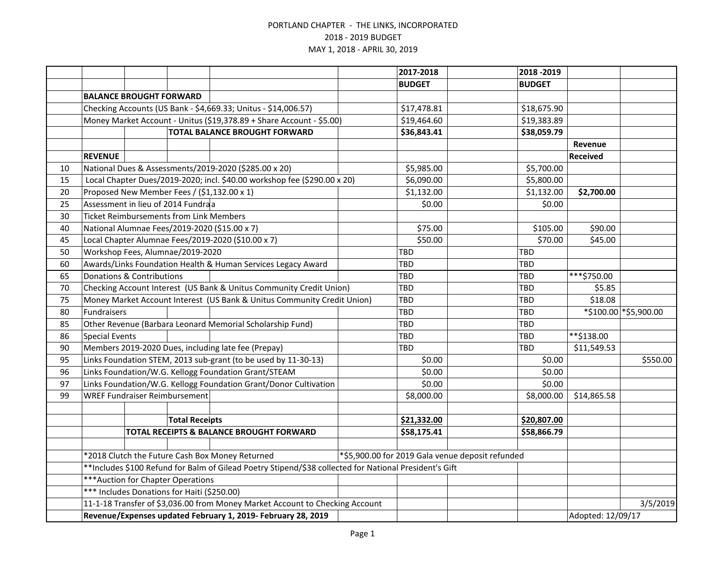|    |                                                                                                        |  |                                                | 2017-2018                                                                |             | 2018 - 2019   |             |                   |                 |                       |
|----|--------------------------------------------------------------------------------------------------------|--|------------------------------------------------|--------------------------------------------------------------------------|-------------|---------------|-------------|-------------------|-----------------|-----------------------|
|    |                                                                                                        |  |                                                |                                                                          |             | <b>BUDGET</b> |             | <b>BUDGET</b>     |                 |                       |
|    | <b>BALANCE BROUGHT FORWARD</b>                                                                         |  |                                                |                                                                          |             |               |             |                   |                 |                       |
|    |                                                                                                        |  |                                                | Checking Accounts (US Bank - \$4,669.33; Unitus - \$14,006.57)           |             | \$17,478.81   |             | \$18,675.90       |                 |                       |
|    |                                                                                                        |  |                                                | Money Market Account - Unitus (\$19,378.89 + Share Account - \$5.00)     |             | \$19,464.60   |             | \$19,383.89       |                 |                       |
|    | <b>TOTAL BALANCE BROUGHT FORWARD</b>                                                                   |  |                                                |                                                                          | \$36,843.41 |               | \$38,059.79 |                   |                 |                       |
|    |                                                                                                        |  |                                                |                                                                          |             |               |             |                   | Revenue         |                       |
|    | <b>REVENUE</b>                                                                                         |  |                                                |                                                                          |             |               |             |                   | <b>Received</b> |                       |
| 10 |                                                                                                        |  |                                                | National Dues & Assessments/2019-2020 (\$285.00 x 20)                    |             | \$5,985.00    |             | \$5,700.00        |                 |                       |
| 15 |                                                                                                        |  |                                                | Local Chapter Dues/2019-2020; incl. \$40.00 workshop fee (\$290.00 x 20) |             | \$6,090.00    |             | \$5,800.00        |                 |                       |
| 20 |                                                                                                        |  |                                                | Proposed New Member Fees / (\$1,132.00 x 1)                              |             | \$1,132.00    |             | \$1,132.00        | \$2,700.00      |                       |
| 25 |                                                                                                        |  | Assessment in lieu of 2014 Fundraa             |                                                                          |             | \$0.00        |             | \$0.00            |                 |                       |
| 30 |                                                                                                        |  | <b>Ticket Reimbursements from Link Members</b> |                                                                          |             |               |             |                   |                 |                       |
| 40 |                                                                                                        |  |                                                | National Alumnae Fees/2019-2020 (\$15.00 x 7)                            |             | \$75.00       |             | \$105.00          | \$90.00         |                       |
| 45 |                                                                                                        |  |                                                | Local Chapter Alumnae Fees/2019-2020 (\$10.00 x 7)                       |             | \$50.00       |             | \$70.00           | \$45.00         |                       |
| 50 |                                                                                                        |  | Workshop Fees, Alumnae/2019-2020               |                                                                          |             | TBD           |             | <b>TBD</b>        |                 |                       |
| 60 |                                                                                                        |  |                                                | Awards/Links Foundation Health & Human Services Legacy Award             |             | TBD           |             | <b>TBD</b>        |                 |                       |
| 65 | Donations & Contributions                                                                              |  |                                                |                                                                          |             | TBD           |             | <b>TBD</b>        | ***\$750.00     |                       |
| 70 |                                                                                                        |  |                                                | Checking Account Interest (US Bank & Unitus Community Credit Union)      |             | TBD           |             | <b>TBD</b>        | \$5.85          |                       |
| 75 | Money Market Account Interest (US Bank & Unitus Community Credit Union)                                |  |                                                |                                                                          |             | <b>TBD</b>    |             | <b>TBD</b>        | \$18.08         |                       |
| 80 | Fundraisers                                                                                            |  |                                                |                                                                          |             | TBD           |             | <b>TBD</b>        |                 | *\$100.00 *\$5,900.00 |
| 85 |                                                                                                        |  |                                                | Other Revenue (Barbara Leonard Memorial Scholarship Fund)                |             | TBD           |             | <b>TBD</b>        |                 |                       |
| 86 | <b>Special Events</b>                                                                                  |  |                                                |                                                                          |             | TBD           |             | TBD               | $**$ \$138.00   |                       |
| 90 |                                                                                                        |  |                                                | Members 2019-2020 Dues, including late fee (Prepay)                      |             | TBD           |             | TBD               | \$11,549.53     |                       |
| 95 | Links Foundation STEM, 2013 sub-grant (to be used by 11-30-13)                                         |  |                                                |                                                                          |             | \$0.00        |             | \$0.00            |                 | \$550.00              |
| 96 | Links Foundation/W.G. Kellogg Foundation Grant/STEAM                                                   |  |                                                |                                                                          |             | \$0.00        |             | \$0.00            |                 |                       |
| 97 |                                                                                                        |  |                                                | Links Foundation/W.G. Kellogg Foundation Grant/Donor Cultivation         |             | \$0.00        |             | \$0.00            |                 |                       |
| 99 |                                                                                                        |  | <b>WREF Fundraiser Reimbursement</b>           |                                                                          |             | \$8,000.00    |             | \$8,000.00        | \$14,865.58     |                       |
|    |                                                                                                        |  |                                                |                                                                          |             |               |             |                   |                 |                       |
|    | <b>Total Receipts</b>                                                                                  |  |                                                |                                                                          |             | \$21,332.00   |             | \$20,807.00       |                 |                       |
|    |                                                                                                        |  |                                                | TOTAL RECEIPTS & BALANCE BROUGHT FORWARD                                 |             | \$58,175.41   |             | \$58,866.79       |                 |                       |
|    |                                                                                                        |  |                                                |                                                                          |             |               |             |                   |                 |                       |
|    | *\$5,900.00 for 2019 Gala venue deposit refunded<br>*2018 Clutch the Future Cash Box Money Returned    |  |                                                |                                                                          |             |               |             |                   |                 |                       |
|    | **Includes \$100 Refund for Balm of Gilead Poetry Stipend/\$38 collected for National President's Gift |  |                                                |                                                                          |             |               |             |                   |                 |                       |
|    | *** Auction for Chapter Operations                                                                     |  |                                                |                                                                          |             |               |             |                   |                 |                       |
|    | *** Includes Donations for Haiti (\$250.00)                                                            |  |                                                |                                                                          |             |               |             |                   |                 |                       |
|    | 11-1-18 Transfer of \$3,036.00 from Money Market Account to Checking Account                           |  |                                                |                                                                          |             |               |             | 3/5/2019          |                 |                       |
|    |                                                                                                        |  |                                                | Revenue/Expenses updated February 1, 2019- February 28, 2019             |             |               |             | Adopted: 12/09/17 |                 |                       |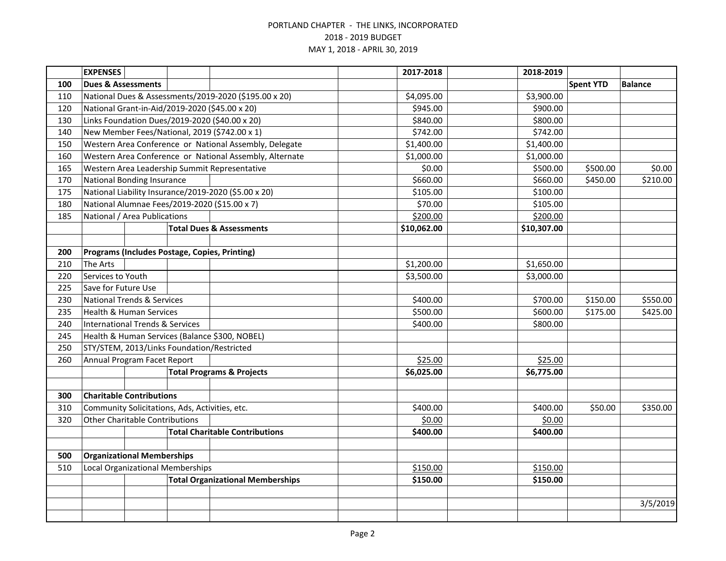|     | <b>EXPENSES</b>                            |  |                                                |                                                         | 2017-2018   | 2018-2019   |                  |                |
|-----|--------------------------------------------|--|------------------------------------------------|---------------------------------------------------------|-------------|-------------|------------------|----------------|
| 100 | <b>Dues &amp; Assessments</b>              |  |                                                |                                                         |             |             | <b>Spent YTD</b> | <b>Balance</b> |
| 110 |                                            |  |                                                | National Dues & Assessments/2019-2020 (\$195.00 x 20)   | \$4,095.00  | \$3,900.00  |                  |                |
| 120 |                                            |  |                                                | National Grant-in-Aid/2019-2020 (\$45.00 x 20)          | \$945.00    | \$900.00    |                  |                |
| 130 |                                            |  |                                                | Links Foundation Dues/2019-2020 (\$40.00 x 20)          | \$840.00    | \$800.00    |                  |                |
| 140 |                                            |  |                                                | New Member Fees/National, 2019 (\$742.00 x 1)           | \$742.00    | \$742.00    |                  |                |
| 150 |                                            |  |                                                | Western Area Conference or National Assembly, Delegate  | \$1,400.00  | \$1,400.00  |                  |                |
| 160 |                                            |  |                                                | Western Area Conference or National Assembly, Alternate | \$1,000.00  | \$1,000.00  |                  |                |
| 165 |                                            |  |                                                | Western Area Leadership Summit Representative           | \$0.00      | \$500.00    | \$500.00         | \$0.00         |
| 170 | <b>National Bonding Insurance</b>          |  |                                                |                                                         | \$660.00    | \$660.00    | \$450.00         | \$210.00       |
| 175 |                                            |  |                                                | National Liability Insurance/2019-2020 (\$5.00 x 20)    | \$105.00    | \$100.00    |                  |                |
| 180 |                                            |  |                                                | National Alumnae Fees/2019-2020 (\$15.00 x 7)           | \$70.00     | \$105.00    |                  |                |
| 185 | National / Area Publications               |  |                                                |                                                         | \$200.00    | \$200.00    |                  |                |
|     |                                            |  |                                                | <b>Total Dues &amp; Assessments</b>                     | \$10,062.00 | \$10,307.00 |                  |                |
|     |                                            |  |                                                |                                                         |             |             |                  |                |
| 200 |                                            |  |                                                | Programs (Includes Postage, Copies, Printing)           |             |             |                  |                |
| 210 | <b>The Arts</b>                            |  |                                                |                                                         | \$1,200.00  | \$1,650.00  |                  |                |
| 220 | Services to Youth                          |  |                                                |                                                         | \$3,500.00  | \$3,000.00  |                  |                |
| 225 | Save for Future Use                        |  |                                                |                                                         |             |             |                  |                |
| 230 | <b>National Trends &amp; Services</b>      |  |                                                | \$400.00                                                | \$700.00    | \$150.00    | \$550.00         |                |
| 235 | <b>Health &amp; Human Services</b>         |  |                                                |                                                         | \$500.00    | \$600.00    | \$175.00         | \$425.00       |
| 240 | <b>International Trends &amp; Services</b> |  |                                                |                                                         | \$400.00    | \$800.00    |                  |                |
| 245 |                                            |  |                                                | Health & Human Services (Balance \$300, NOBEL)          |             |             |                  |                |
| 250 |                                            |  | STY/STEM, 2013/Links Foundation/Restricted     |                                                         |             |             |                  |                |
| 260 | Annual Program Facet Report                |  |                                                |                                                         | \$25.00     | \$25.00     |                  |                |
|     |                                            |  |                                                | <b>Total Programs &amp; Projects</b>                    | \$6,025.00  | \$6,775.00  |                  |                |
|     |                                            |  |                                                |                                                         |             |             |                  |                |
| 300 | <b>Charitable Contributions</b>            |  |                                                |                                                         |             |             |                  |                |
| 310 |                                            |  | Community Solicitations, Ads, Activities, etc. |                                                         | \$400.00    | \$400.00    | \$50.00          | \$350.00       |
| 320 | <b>Other Charitable Contributions</b>      |  |                                                | \$0.00                                                  | \$0.00      |             |                  |                |
|     |                                            |  |                                                | <b>Total Charitable Contributions</b>                   | \$400.00    | \$400.00    |                  |                |
|     |                                            |  |                                                |                                                         |             |             |                  |                |
| 500 | <b>Organizational Memberships</b>          |  |                                                |                                                         |             |             |                  |                |
| 510 | <b>Local Organizational Memberships</b>    |  |                                                |                                                         | \$150.00    | \$150.00    |                  |                |
|     | <b>Total Organizational Memberships</b>    |  |                                                | \$150.00                                                | \$150.00    |             |                  |                |
|     |                                            |  |                                                |                                                         |             |             |                  |                |
|     |                                            |  |                                                |                                                         |             |             |                  | 3/5/2019       |
|     |                                            |  |                                                |                                                         |             |             |                  |                |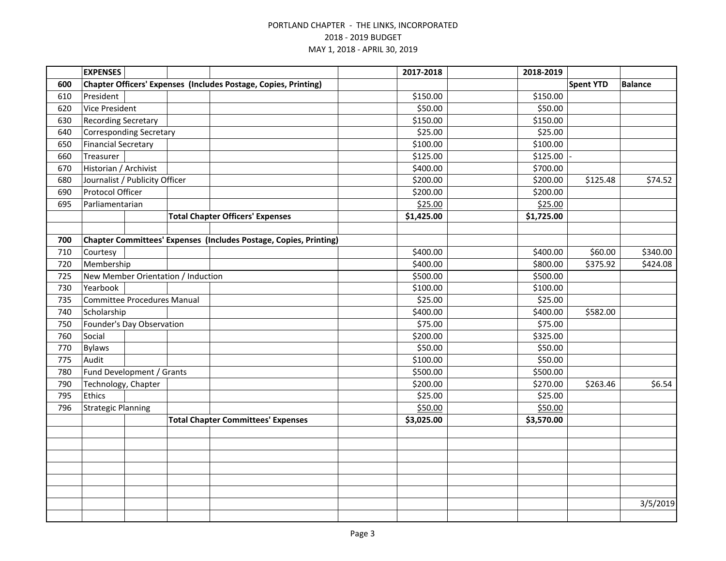|     | <b>EXPENSES</b>                    |  |  |                                                                   |  | 2017-2018  | 2018-2019  |                  |                |
|-----|------------------------------------|--|--|-------------------------------------------------------------------|--|------------|------------|------------------|----------------|
| 600 |                                    |  |  | Chapter Officers' Expenses (Includes Postage, Copies, Printing)   |  |            |            | <b>Spent YTD</b> | <b>Balance</b> |
| 610 | President                          |  |  |                                                                   |  | \$150.00   | \$150.00   |                  |                |
| 620 | <b>Vice President</b>              |  |  |                                                                   |  | \$50.00    | \$50.00    |                  |                |
| 630 | <b>Recording Secretary</b>         |  |  |                                                                   |  | \$150.00   | \$150.00   |                  |                |
| 640 | <b>Corresponding Secretary</b>     |  |  |                                                                   |  | \$25.00    | \$25.00    |                  |                |
| 650 | <b>Financial Secretary</b>         |  |  |                                                                   |  | \$100.00   | \$100.00   |                  |                |
| 660 | Treasurer                          |  |  |                                                                   |  | \$125.00   | \$125.00   |                  |                |
| 670 | Historian / Archivist              |  |  |                                                                   |  | \$400.00   | \$700.00   |                  |                |
| 680 | Journalist / Publicity Officer     |  |  |                                                                   |  | \$200.00   | \$200.00   | \$125.48         | \$74.52        |
| 690 | Protocol Officer                   |  |  |                                                                   |  | \$200.00   | \$200.00   |                  |                |
| 695 | Parliamentarian                    |  |  |                                                                   |  | \$25.00    | \$25.00    |                  |                |
|     |                                    |  |  | <b>Total Chapter Officers' Expenses</b>                           |  | \$1,425.00 | \$1,725.00 |                  |                |
|     |                                    |  |  |                                                                   |  |            |            |                  |                |
| 700 |                                    |  |  | Chapter Committees' Expenses (Includes Postage, Copies, Printing) |  |            |            |                  |                |
| 710 | Courtesy                           |  |  |                                                                   |  | \$400.00   | \$400.00   | \$60.00          | \$340.00       |
| 720 | Membership                         |  |  |                                                                   |  | \$400.00   | \$800.00   | \$375.92         | \$424.08       |
| 725 | New Member Orientation / Induction |  |  |                                                                   |  | \$500.00   | \$500.00   |                  |                |
| 730 | Yearbook                           |  |  |                                                                   |  | \$100.00   | \$100.00   |                  |                |
| 735 | <b>Committee Procedures Manual</b> |  |  |                                                                   |  | \$25.00    | \$25.00    |                  |                |
| 740 | Scholarship                        |  |  |                                                                   |  | \$400.00   | \$400.00   | \$582.00         |                |
| 750 | Founder's Day Observation          |  |  |                                                                   |  | \$75.00    | \$75.00    |                  |                |
| 760 | Social                             |  |  |                                                                   |  | \$200.00   | \$325.00   |                  |                |
| 770 | <b>Bylaws</b>                      |  |  |                                                                   |  | \$50.00    | \$50.00    |                  |                |
| 775 | Audit                              |  |  |                                                                   |  | \$100.00   | \$50.00    |                  |                |
| 780 | Fund Development / Grants          |  |  |                                                                   |  | \$500.00   | \$500.00   |                  |                |
| 790 | Technology, Chapter                |  |  |                                                                   |  | \$200.00   | \$270.00   | \$263.46         | \$6.54         |
| 795 | Ethics                             |  |  |                                                                   |  | \$25.00    | \$25.00    |                  |                |
| 796 | <b>Strategic Planning</b>          |  |  |                                                                   |  | \$50.00    | \$50.00    |                  |                |
|     |                                    |  |  | <b>Total Chapter Committees' Expenses</b>                         |  | \$3,025.00 | \$3,570.00 |                  |                |
|     |                                    |  |  |                                                                   |  |            |            |                  |                |
|     |                                    |  |  |                                                                   |  |            |            |                  |                |
|     |                                    |  |  |                                                                   |  |            |            |                  |                |
|     |                                    |  |  |                                                                   |  |            |            |                  |                |
|     |                                    |  |  |                                                                   |  |            |            |                  |                |
|     |                                    |  |  |                                                                   |  |            |            |                  |                |
|     |                                    |  |  |                                                                   |  |            |            |                  | 3/5/2019       |
|     |                                    |  |  |                                                                   |  |            |            |                  |                |